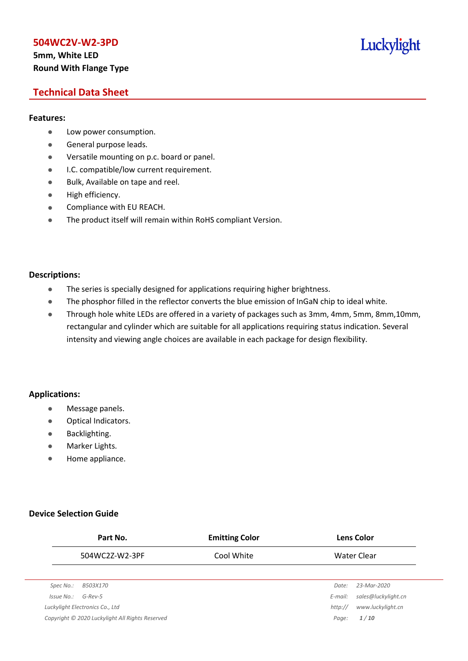# **5mm, White LED Round With Flange Type**

# Luckylight

# **Technical Data Sheet**

### **Features:**

- **•** Low power consumption.
- **General purpose leads.**
- Versatile mounting on p.c. board or panel.
- **I.C. compatible/low current requirement.**
- Bulk, Available on tape and reel.
- $\bullet$  High efficiency.
- **•** Compliance with EU REACH.
- The product itself will remain within RoHS compliant Version.

### **Descriptions:**

- The series is specially designed for applications requiring higher brightness.
- The phosphor filled in the reflector converts the blue emission of InGaN chip to ideal white.
- Through hole white LEDs are offered in a variety of packages such as 3mm, 4mm, 5mm, 8mm,10mm, rectangular and cylinder which are suitable for all applications requiring status indication. Several intensity and viewing angle choices are available in each package for design flexibility.

## **Applications:**

- **•** Message panels.
- Optical Indicators.
- Backlighting.
- Marker Lights.
- Home appliance.

## **Device Selection Guide**

|            | Part No.                                        | <b>Emitting Color</b> |         | <b>Lens Color</b>   |
|------------|-------------------------------------------------|-----------------------|---------|---------------------|
|            | 504WC2Z-W2-3PF                                  | Cool White            |         | Water Clear         |
|            |                                                 |                       |         |                     |
| Spec No.:  | <i>B503X170</i>                                 |                       | Date:   | 23-Mar-2020         |
| Issue No.: | $G$ -Rev-5                                      |                       | E-mail: | sales@luckylight.cn |
|            | Luckylight Electronics Co., Ltd                 |                       | http:// | www.luckylight.cn   |
|            | Copyright © 2020 Luckylight All Rights Reserved |                       | Page:   | 1/10                |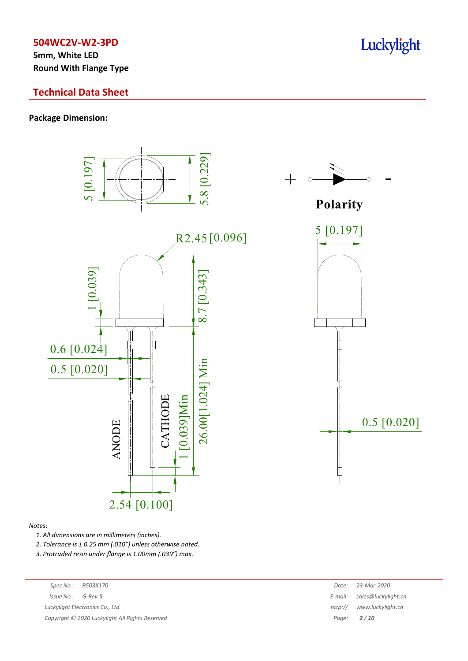**5mm, White LED Round With Flange Type**

# **Technical Data Sheet**

## **Package Dimension:**



#### *Notes:*

*1. All dimensions are in millimeters (inches).*

*2. Tolerance is ± 0.25 mm (.010″) unless otherwise noted.*

*3. Protruded resin under flange is 1.00mm (.039″) max.*

| Spec No.:  | B503X170                                        | Date:   | 23-Mar-2020         |
|------------|-------------------------------------------------|---------|---------------------|
| Issue No.: | G-Rev-5                                         | E-mail: | sales@luckylight.cn |
|            | Luckylight Electronics Co., Ltd                 | http:// | www.luckylight.cn   |
|            | Copyright © 2020 Luckylight All Rights Reserved |         | Page: $2/10$        |
|            |                                                 |         |                     |

Luckylight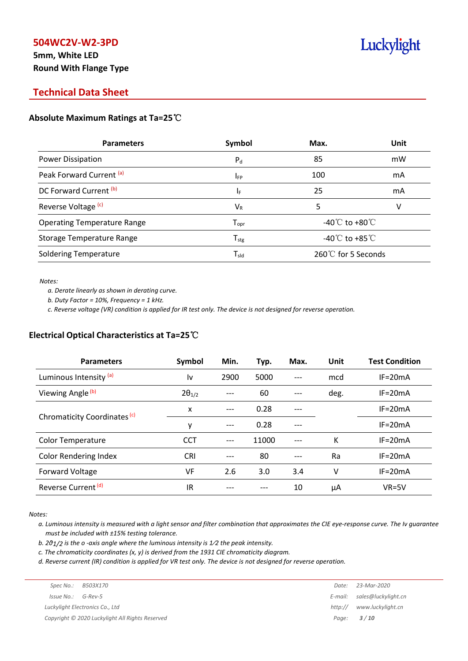# **5mm, White LED Round With Flange Type**

# Luckylight

# **Technical Data Sheet**

## **Absolute Maximum Ratings at Ta=25**℃

| <b>Parameters</b>                  | Symbol                       | Max.                                 | Unit |
|------------------------------------|------------------------------|--------------------------------------|------|
| Power Dissipation                  | $P_{d}$                      | 85                                   | mW   |
| Peak Forward Current (a)           | <b>IFP</b>                   | 100                                  | mA   |
| DC Forward Current (b)             | ΙF                           | 25                                   | mA   |
| Reverse Voltage <sup>(c)</sup>     | $V_{R}$                      | 5                                    | V    |
| <b>Operating Temperature Range</b> | ${\mathsf T}_{\textsf{opr}}$ | -40 $^{\circ}$ C to +80 $^{\circ}$ C |      |
| <b>Storage Temperature Range</b>   | ${\mathsf T}_{\text{stg}}$   | -40 $^{\circ}$ C to +85 $^{\circ}$ C |      |
| <b>Soldering Temperature</b>       | $\mathsf{T}_{\mathsf{sld}}$  | 260℃ for 5 Seconds                   |      |

*Notes:*

*a. Derate linearly as shown in derating curve.*

*b. Duty Factor = 10%, Frequency = 1 kHz.*

c. Reverse voltage (VR) condition is applied for IR test only. The device is not designed for reverse operation.

## **Electrical Optical Characteristics at Ta=25**℃

| <b>Parameters</b>                       | Symbol          | Min.          | Typ.  | Max. | Unit        | <b>Test Condition</b> |
|-----------------------------------------|-----------------|---------------|-------|------|-------------|-----------------------|
| Luminous Intensity (a)                  | l٧              | 2900          | 5000  |      | mcd         | $IF = 20mA$           |
| Viewing Angle <sup>(b)</sup>            | $2\theta_{1/2}$ |               | 60    |      | deg.        | $IF = 20mA$           |
|                                         | x               | 0.28<br>$---$ |       |      | $IF = 20mA$ |                       |
| Chromaticity Coordinates <sup>(c)</sup> | y               | $---$         | 0.28  |      |             | $IF=20mA$             |
| <b>Color Temperature</b>                | <b>CCT</b>      | ---           | 11000 |      | К           | $IF = 20mA$           |
| <b>Color Rendering Index</b>            | <b>CRI</b>      |               | 80    |      | Ra          | $IF = 20mA$           |
| Forward Voltage                         | VF              | 2.6           | 3.0   | 3.4  | ٧           | $IF = 20mA$           |
| Reverse Current <sup>(d)</sup>          | IR              |               |       | 10   | μA          | $VR=5V$               |

*Notes:*

a. Luminous intensity is measured with a light sensor and filter combination that approximates the CIE eye-response curve. The Iv guarantee *must be included with ±15% testing tolerance.*

*b. 2θ1/2 is the o -axis angle where the luminous intensity is 1⁄2 the peak intensity.*

*c. The chromaticity coordinates (x, y) is derived from the 1931 CIE chromaticity diagram.*

d. Reverse current (IR) condition is applied for VR test only. The device is not designed for reverse operation.

| Spec No.:              | B503X170                                        | Date:   | 23-Mar-2020                 |
|------------------------|-------------------------------------------------|---------|-----------------------------|
| $Is sue No.:  G-Rev-5$ |                                                 |         | E-mail: sales@luckylight.cn |
|                        | Luckylight Electronics Co., Ltd                 | http:// | www.luckylight.cn           |
|                        | Copyright © 2020 Luckylight All Rights Reserved |         | Page: <b>3/10</b>           |
|                        |                                                 |         |                             |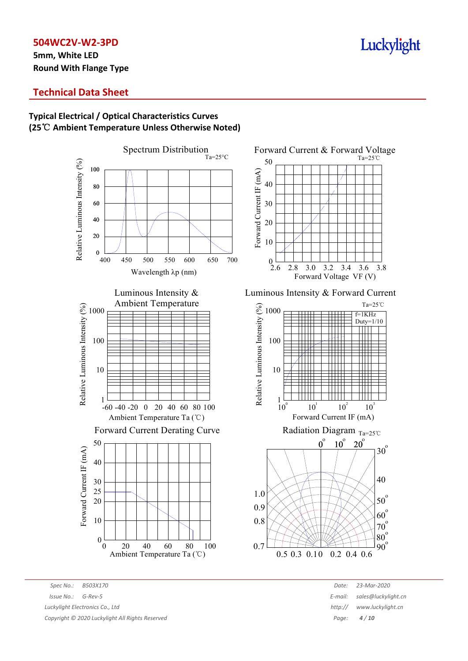**5mm, White LED Round With Flange Type**

# Luckylight

Ta=25℃

# **Technical Data Sheet**

## **Typical Electrical / Optical Characteristics Curves (25**℃ **Ambient Temperature Unless Otherwise Noted)**



*Spec No.: B503X170 Date: 23-Mar-2020 Issue No.: G-Rev-5 E-mail: sales@luckylight.cn Luckylight Electronics Co., Ltd http:// www.luckylight.cn*

Ambient Temperature Ta (℃)

*Copyright © 2020 Luckylight All Rights Reserved Page: 4 / 10*

# Luminous Intensity & Forward Current

2.8 3.0 3.2 3.4 3.6 3.8 Forward Voltage VF (V)

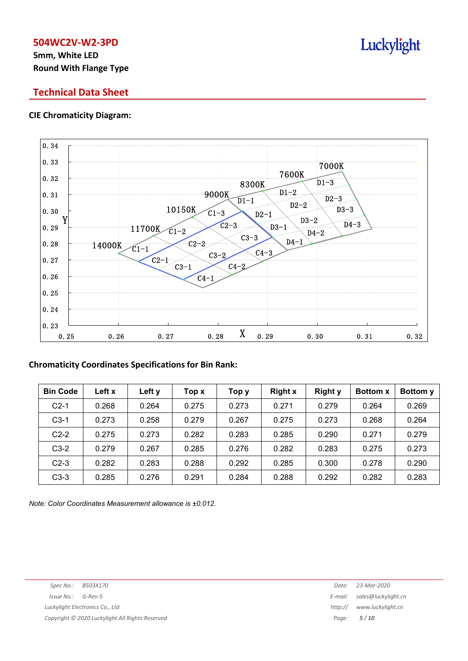# **5mm, White LED Round With Flange Type**

# **Technical Data Sheet**

## **CIE Chromaticity Diagram:**



## **Chromaticity Coordinates Specifications for Bin Rank:**

| <b>Bin Code</b> | Left x | Left y | Top x | Тор у | <b>Right x</b> | <b>Right y</b> | <b>Bottom x</b> | Bottom y |
|-----------------|--------|--------|-------|-------|----------------|----------------|-----------------|----------|
| $C2-1$          | 0.268  | 0.264  | 0.275 | 0.273 | 0.271          | 0.279          | 0.264           | 0.269    |
| $C3-1$          | 0.273  | 0.258  | 0.279 | 0.267 | 0.275          | 0.273          | 0.268           | 0.264    |
| $C2-2$          | 0.275  | 0.273  | 0.282 | 0.283 | 0.285          | 0.290          | 0.271           | 0.279    |
| $C3-2$          | 0.279  | 0.267  | 0.285 | 0.276 | 0.282          | 0.283          | 0.275           | 0.273    |
| $C2-3$          | 0.282  | 0.283  | 0.288 | 0.292 | 0.285          | 0.300          | 0.278           | 0.290    |
| $C3-3$          | 0.285  | 0.276  | 0.291 | 0.284 | 0.288          | 0.292          | 0.282           | 0.283    |

*Note: Color Coordinates Measurement allowance is ±0.012.*

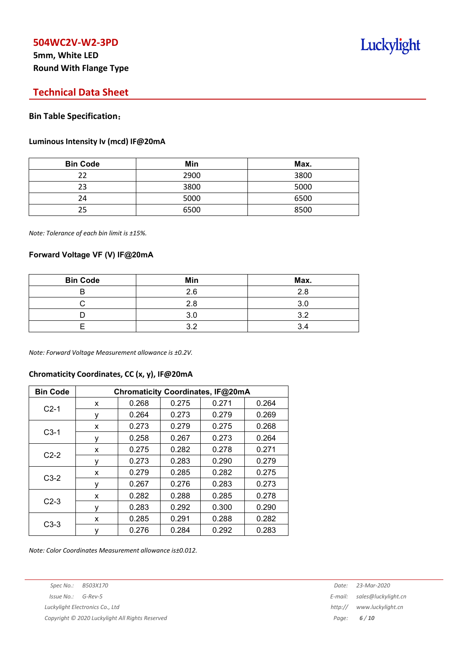# **5mm, White LED Round With Flange Type**

# **Technical Data Sheet**

#### **Bin Table Specification**:

#### **Luminous Intensity Iv (mcd) IF@20mA**

| <b>Bin Code</b> | Min  | Max. |
|-----------------|------|------|
| 22              | 2900 | 3800 |
| 23              | 3800 | 5000 |
| 24              | 5000 | 6500 |
| 25              | 6500 | 8500 |

*Note: Tolerance of each bin limit is ±15%.*

### **Forward Voltage VF (V) IF@20mA**

| <b>Bin Code</b> | Min | Max. |
|-----------------|-----|------|
|                 | 2.6 | 2 ጸ  |
|                 | 2.8 | ົ    |
|                 | 3.0 | ◠    |
|                 |     |      |

*Note: Forward Voltage Measurement allowance is ±0.2V.*

## **Chromaticity Coordinates, CC (x, y), IF@20mA**

| <b>Bin Code</b> | Chromaticity Coordinates, IF@20mA |       |       |       |       |  |  |
|-----------------|-----------------------------------|-------|-------|-------|-------|--|--|
| $C2-1$          | x                                 | 0.268 | 0.275 | 0.271 | 0.264 |  |  |
|                 | ٧                                 | 0.264 | 0.273 | 0.279 | 0.269 |  |  |
|                 | X                                 | 0.273 | 0.279 | 0.275 | 0.268 |  |  |
| $C3-1$          | у                                 | 0.258 | 0.267 | 0.273 | 0.264 |  |  |
|                 | x                                 | 0.275 | 0.282 | 0.278 | 0.271 |  |  |
| $C2-2$          | ٧                                 | 0.273 | 0.283 | 0.290 | 0.279 |  |  |
|                 | X                                 | 0.279 | 0.285 | 0.282 | 0.275 |  |  |
| $C3-2$          | ٧                                 | 0.267 | 0.276 | 0.283 | 0.273 |  |  |
| $C2-3$          | x                                 | 0.282 | 0.288 | 0.285 | 0.278 |  |  |
|                 | ٧                                 | 0.283 | 0.292 | 0.300 | 0.290 |  |  |
|                 | x                                 | 0.285 | 0.291 | 0.288 | 0.282 |  |  |
| $C3-3$          | ٧                                 | 0.276 | 0.284 | 0.292 | 0.283 |  |  |

*Note: Color Coordinates Measurement allowance is±0.012.*

*Spec No.: B503X170 Date: 23-Mar-2020*

*Copyright © 2020 Luckylight All Rights Reserved Page: 6 / 10*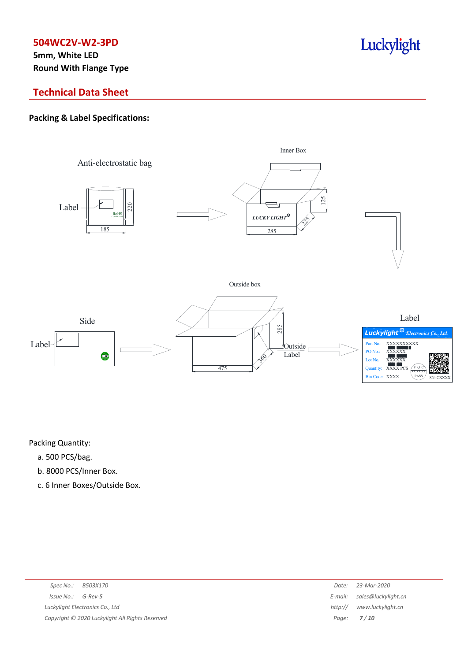**5mm, White LED Round With Flange Type**

# Luckylight

# **Technical Data Sheet**

## **Packing & Label Specifications:**



Packing Quantity:

- a. 500 PCS/bag.
- b. 8000 PCS/Inner Box.
- c. 6 Inner Boxes/Outside Box.

| Spec No.: B503X170                              | Date:   | 23-Mar-2020                 |
|-------------------------------------------------|---------|-----------------------------|
| $Issue No.: G-Rev-5$                            |         | E-mail: sales@luckylight.cn |
| Luckylight Electronics Co., Ltd                 | http:// | www.luckylight.cn           |
| Copyright © 2020 Luckylight All Rights Reserved |         | Page: <b>7/10</b>           |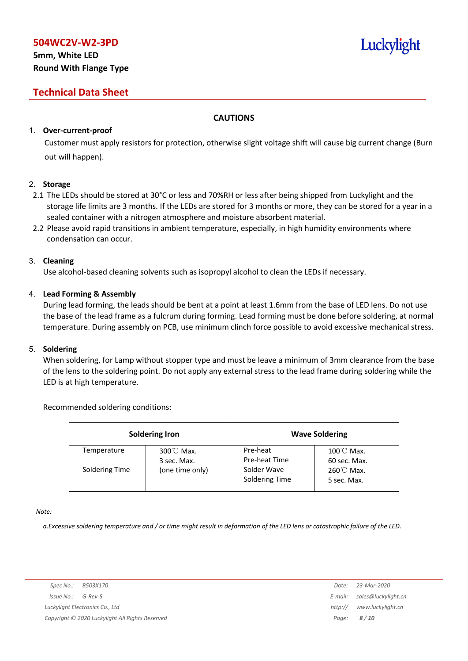# **5mm, White LED Round With Flange Type**

# **Technical Data Sheet**

## **CAUTIONS**

## 1. **Over-current-proof**

Customer must apply resistors for protection, otherwise slight voltage shift will cause big current change (Burn out will happen).

## 2. **Storage**

- 2.1 The LEDs should be stored at 30°C or less and 70%RH or less after being shipped from Luckylight and the storage life limits are 3 months. If the LEDs are stored for 3 months or more, they can be stored for a year in a sealed container with a nitrogen atmosphere and moisture absorbent material.
- 2.2 Please avoid rapid transitions in ambient temperature, especially, in high humidity environments where condensation can occur.

## 3. **Cleaning**

Use alcohol-based cleaning solvents such as isopropyl alcohol to clean the LEDs if necessary.

## 4. **Lead Forming & Assembly**

During lead forming, the leads should be bent at a point at least 1.6mm from the base of LED lens. Do not use the base of the lead frame as a fulcrum during forming. Lead forming must be done before soldering, at normal temperature. During assembly on PCB, use minimum clinch force possible to avoid excessive mechanical stress.

## 5. **Soldering**

When soldering, for Lamp without stopper type and must be leave a minimum of 3mm clearance from the base of the lens to the soldering point. Do not apply any external stress to the lead frame during soldering while the LED is at high temperature.

## Recommended soldering conditions:

|                | <b>Soldering Iron</b>               |                               | <b>Wave Soldering</b>                |
|----------------|-------------------------------------|-------------------------------|--------------------------------------|
| Temperature    | $300^{\circ}$ C Max.<br>3 sec. Max. | Pre-heat<br>Pre-heat Time     | $100^{\circ}$ C Max.<br>60 sec. Max. |
| Soldering Time | (one time only)                     | Solder Wave<br>Soldering Time | $260^{\circ}$ C Max.<br>5 sec. Max.  |

*Note:*

a. Excessive soldering temperature and / or time might result in deformation of the LED lens or catastrophic failure of the LED.

Luckylight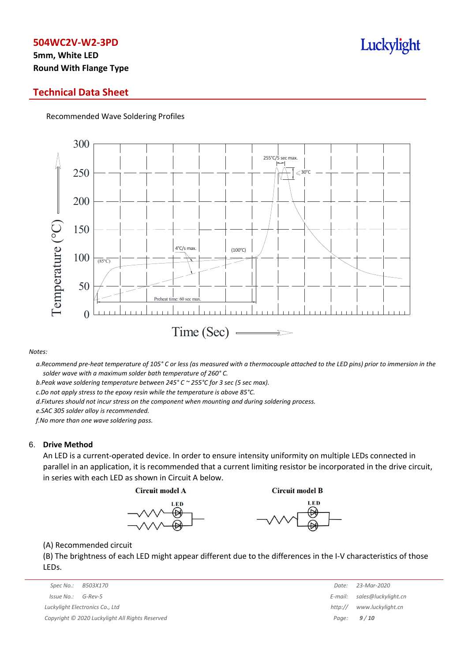# **5mm, White LED Round With Flange Type**

## **Technical Data Sheet**

Recommended Wave Soldering Profiles



*Notes:*

a. Recommend pre-heat temperature of 105° C or less (as measured with a thermocouple attached to the LED pins) prior to immersion in the *solder wave with a maximum solder bath temperature of 260° C.*

*b.Peak wave soldering temperature between 245° C ~ 255°C for 3 sec (5 sec max).*

*c.Do not apply stress to the epoxy resin while the temperature is above 85°C.*

*d.Fixtures should not incur stress on the component when mounting and during soldering process.*

*e.SAC 305 solder alloy is recommended.*

*f.No more than one wave soldering pass.*

#### 6. **Drive Method**

An LED is a current-operated device. In order to ensure intensity uniformity on multiple LEDs connected in parallel in an application, it is recommended that a current limiting resistor be incorporated in the drive circuit, in series with each LED as shown in Circuit A below.

**Circuit model A** 

**Circuit model B** 





(A) Recommended circuit

(B) The brightness of each LED might appear different due to the differences in the I-V characteristics of those LEDs.

| Spec No.:  | B503X170                                        | Date:   | 23-Mar-2020         |
|------------|-------------------------------------------------|---------|---------------------|
| Issue No.: | G-Rev-5                                         | E-mail: | sales@luckylight.cn |
|            | Luckylight Electronics Co., Ltd                 | http:// | www.luckylight.cn   |
|            | Copyright © 2020 Luckylight All Rights Reserved |         | Page: $9/10$        |

| Date:   | 23-Mar-2020         |
|---------|---------------------|
| E-mail: | sales@luckylight.cn |
| http:// | www.luckylight.cn   |
| Page:   | 9/10                |

# Luckylight